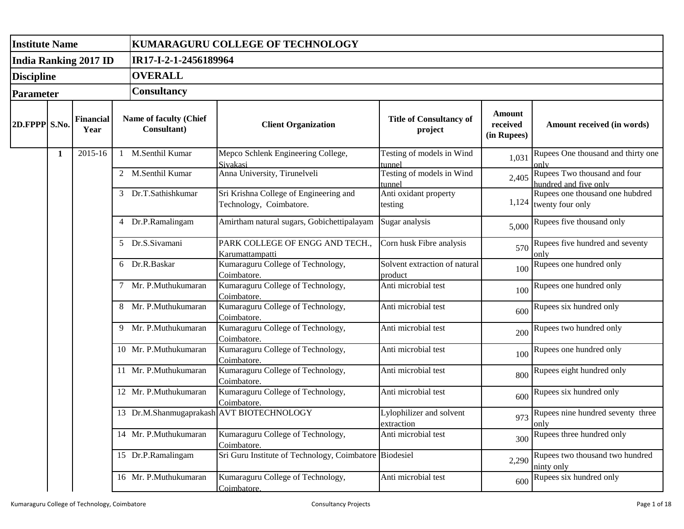| <b>Institute Name</b> |   |                              |    |                                       | KUMARAGURU COLLEGE OF TECHNOLOGY                                  |                                           |                                   |                                                             |  |  |  |  |
|-----------------------|---|------------------------------|----|---------------------------------------|-------------------------------------------------------------------|-------------------------------------------|-----------------------------------|-------------------------------------------------------------|--|--|--|--|
|                       |   | <b>India Ranking 2017 ID</b> |    | IR17-I-2-1-2456189964                 |                                                                   |                                           |                                   |                                                             |  |  |  |  |
| <b>Discipline</b>     |   |                              |    | <b>OVERALL</b><br><b>Consultancy</b>  |                                                                   |                                           |                                   |                                                             |  |  |  |  |
| <b>Parameter</b>      |   |                              |    |                                       |                                                                   |                                           |                                   |                                                             |  |  |  |  |
| 2D.FPPP S.No.         |   | <b>Financial</b><br>Year     |    | Name of faculty (Chief<br>Consultant) | <b>Client Organization</b>                                        | <b>Title of Consultancy of</b><br>project | Amount<br>received<br>(in Rupees) | Amount received (in words)                                  |  |  |  |  |
|                       | 1 | 2015-16                      | -1 | M.Senthil Kumar                       | Mepco Schlenk Engineering College,<br>Sivakasi                    | Testing of models in Wind<br>tunnel       | 1,031                             | Rupees One thousand and thirty one<br>only                  |  |  |  |  |
|                       |   |                              |    | 2 M.Senthil Kumar                     | Anna University, Tirunelveli                                      | Testing of models in Wind<br>tunnel       | 2,405                             | Rupees Two thousand and four<br>hundred and five only       |  |  |  |  |
|                       |   |                              |    | 3 Dr.T.Sathishkumar                   | Sri Krishna College of Engineering and<br>Technology, Coimbatore. | Anti oxidant property<br>testing          |                                   | Rupees one thousand one hubdred<br>$1,124$ twenty four only |  |  |  |  |
|                       |   |                              | 4  | Dr.P.Ramalingam                       | Amirtham natural sugars, Gobichettipalayam                        | Sugar analysis                            | 5,000                             | Rupees five thousand only                                   |  |  |  |  |
|                       |   |                              | .5 | Dr.S.Sivamani                         | PARK COLLEGE OF ENGG AND TECH.,<br>Karumattampatti                | Corn husk Fibre analysis                  | 570                               | Rupees five hundred and seventy<br>only                     |  |  |  |  |
|                       |   |                              |    | 6 Dr.R.Baskar                         | Kumaraguru College of Technology,<br>Coimbatore.                  | Solvent extraction of natural<br>product  | 100                               | Rupees one hundred only                                     |  |  |  |  |
|                       |   |                              |    | Mr. P.Muthukumaran                    | Kumaraguru College of Technology,<br>Coimbatore.                  | Anti microbial test                       | 100                               | Rupees one hundred only                                     |  |  |  |  |
|                       |   |                              | 8  | Mr. P.Muthukumaran                    | Kumaraguru College of Technology,<br>Coimbatore.                  | Anti microbial test                       | 600                               | Rupees six hundred only                                     |  |  |  |  |
|                       |   |                              |    | 9 Mr. P.Muthukumaran                  | Kumaraguru College of Technology,<br>Coimbatore.                  | Anti microbial test                       | 200                               | Rupees two hundred only                                     |  |  |  |  |
|                       |   |                              |    | 10 Mr. P.Muthukumaran                 | Kumaraguru College of Technology,<br>Coimbatore.                  | Anti microbial test                       | 100                               | Rupees one hundred only                                     |  |  |  |  |
|                       |   |                              |    | 11 Mr. P.Muthukumaran                 | Kumaraguru College of Technology,<br>Coimbatore.                  | Anti microbial test                       | 800                               | Rupees eight hundred only                                   |  |  |  |  |
|                       |   |                              |    | 12 Mr. P.Muthukumaran                 | Kumaraguru College of Technology,<br>Coimbatore.                  | Anti microbial test                       | 600                               | Rupees six hundred only                                     |  |  |  |  |
|                       |   |                              |    |                                       | 13 Dr.M.Shanmugaprakash AVT BIOTECHNOLOGY                         | Lylophilizer and solvent<br>extraction    | 973                               | Rupees nine hundred seventy three<br>only                   |  |  |  |  |
|                       |   |                              |    | 14 Mr. P.Muthukumaran                 | Kumaraguru College of Technology,<br>Coimbatore.                  | Anti microbial test                       | 300                               | Rupees three hundred only                                   |  |  |  |  |
|                       |   |                              |    | 15 Dr.P.Ramalingam                    | Sri Guru Institute of Technology, Coimbatore Biodesiel            |                                           | 2,290                             | Rupees two thousand two hundred<br>ninty only               |  |  |  |  |
|                       |   |                              |    | 16 Mr. P.Muthukumaran                 | Kumaraguru College of Technology,<br>Coimbatore.                  | Anti microbial test                       | 600                               | Rupees six hundred only                                     |  |  |  |  |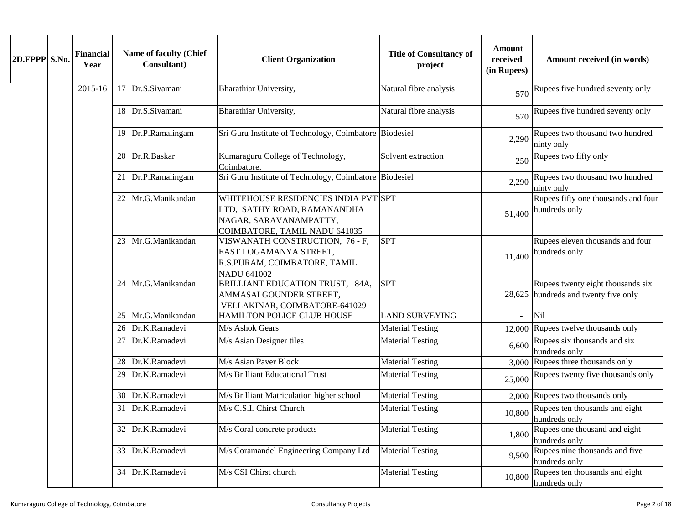| 2D.FPPP S.No. | <b>Financial</b><br>Year | Name of faculty (Chief<br>Consultant) | <b>Client Organization</b>                                                                                                     | <b>Title of Consultancy of</b><br>project | <b>Amount</b><br>received<br>(in Rupees) | Amount received (in words)                                                |
|---------------|--------------------------|---------------------------------------|--------------------------------------------------------------------------------------------------------------------------------|-------------------------------------------|------------------------------------------|---------------------------------------------------------------------------|
|               | 2015-16                  | 17 Dr.S.Sivamani                      | Bharathiar University,                                                                                                         | Natural fibre analysis                    | 570                                      | Rupees five hundred seventy only                                          |
|               |                          | 18 Dr.S.Sivamani                      | Bharathiar University,                                                                                                         | Natural fibre analysis                    | 570                                      | Rupees five hundred seventy only                                          |
|               |                          | 19 Dr.P.Ramalingam                    | Sri Guru Institute of Technology, Coimbatore Biodesiel                                                                         |                                           | 2,290                                    | Rupees two thousand two hundred<br>ninty only                             |
|               |                          | 20 Dr.R.Baskar                        | Kumaraguru College of Technology,<br>Coimbatore.                                                                               | Solvent extraction                        | 250                                      | Rupees two fifty only                                                     |
|               |                          | 21 Dr.P.Ramalingam                    | Sri Guru Institute of Technology, Coimbatore Biodesiel                                                                         |                                           | 2,290                                    | Rupees two thousand two hundred<br>ninty only                             |
|               |                          | 22 Mr.G.Manikandan                    | WHITEHOUSE RESIDENCIES INDIA PVT SPT<br>LTD, SATHY ROAD, RAMANANDHA<br>NAGAR, SARAVANAMPATTY,<br>COIMBATORE, TAMIL NADU 641035 |                                           | 51,400                                   | Rupees fifty one thousands and four<br>hundreds only                      |
|               |                          | 23 Mr.G.Manikandan                    | VISWANATH CONSTRUCTION, 76 - F,<br>EAST LOGAMANYA STREET,<br>R.S.PURAM, COIMBATORE, TAMIL<br><b>NADU 641002</b>                | <b>SPT</b>                                | 11,400                                   | Rupees eleven thousands and four<br>hundreds only                         |
|               |                          | 24 Mr.G.Manikandan                    | BRILLIANT EDUCATION TRUST, 84A,<br>AMMASAI GOUNDER STREET,<br>VELLAKINAR, COIMBATORE-641029                                    | <b>SPT</b>                                |                                          | Rupees twenty eight thousands six<br>28,625 hundreds and twenty five only |
|               |                          | 25 Mr.G.Manikandan                    | HAMILTON POLICE CLUB HOUSE                                                                                                     | <b>LAND SURVEYING</b>                     | $\mathbf{r}$                             | Nil                                                                       |
|               |                          | 26 Dr.K.Ramadevi                      | M/s Ashok Gears                                                                                                                | <b>Material Testing</b>                   |                                          | 12,000 Rupees twelve thousands only                                       |
|               |                          | 27 Dr.K.Ramadevi                      | M/s Asian Designer tiles                                                                                                       | <b>Material Testing</b>                   | 6,600                                    | Rupees six thousands and six<br>hundreds only                             |
|               |                          | 28 Dr.K.Ramadevi                      | M/s Asian Paver Block                                                                                                          | <b>Material Testing</b>                   |                                          | 3,000 Rupees three thousands only                                         |
|               |                          | 29 Dr.K.Ramadevi                      | M/s Brilliant Educational Trust                                                                                                | <b>Material Testing</b>                   | 25,000                                   | Rupees twenty five thousands only                                         |
|               |                          | 30 Dr.K.Ramadevi                      | M/s Brilliant Matriculation higher school                                                                                      | <b>Material Testing</b>                   |                                          | 2,000 Rupees two thousands only                                           |
|               |                          | 31 Dr.K.Ramadevi                      | M/s C.S.I. Chirst Church                                                                                                       | <b>Material Testing</b>                   |                                          | 10,800 Rupees ten thousands and eight<br>hundreds only                    |
|               |                          | 32 Dr.K.Ramadevi                      | M/s Coral concrete products                                                                                                    | <b>Material Testing</b>                   | 1,800                                    | Rupees one thousand and eight<br>hundreds only                            |
|               |                          | 33 Dr.K.Ramadevi                      | M/s Coramandel Engineering Company Ltd                                                                                         | <b>Material Testing</b>                   | 9,500                                    | Rupees nine thousands and five<br>hundreds only                           |
|               |                          | 34 Dr.K.Ramadevi                      | M/s CSI Chirst church                                                                                                          | <b>Material Testing</b>                   | 10,800                                   | Rupees ten thousands and eight<br>hundreds only                           |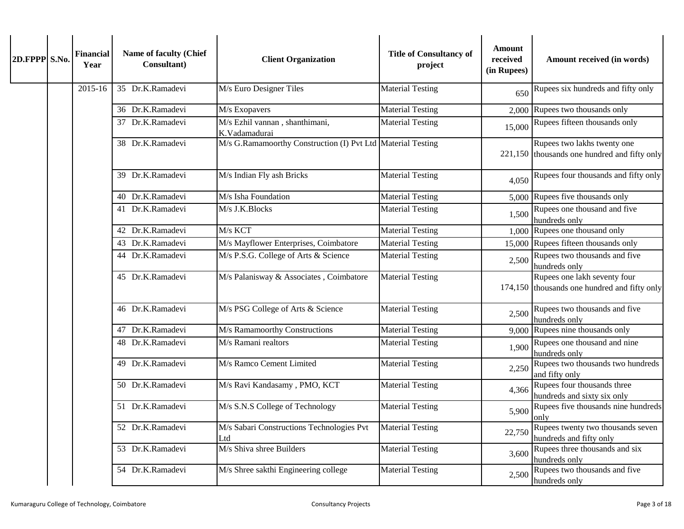| 2D.FPPP S.No. |  | <b>Financial</b><br>Year | Name of faculty (Chief<br>Consultant) | <b>Client Organization</b>                                  | <b>Title of Consultancy of</b><br>project | <b>Amount</b><br>received<br>(in Rupees) | Amount received (in words)                                                    |                                                |
|---------------|--|--------------------------|---------------------------------------|-------------------------------------------------------------|-------------------------------------------|------------------------------------------|-------------------------------------------------------------------------------|------------------------------------------------|
|               |  | 2015-16                  | 35 Dr.K.Ramadevi                      | M/s Euro Designer Tiles                                     | <b>Material Testing</b>                   | 650                                      | Rupees six hundreds and fifty only                                            |                                                |
|               |  |                          | 36 Dr.K.Ramadevi                      | M/s Exopavers                                               | Material Testing                          |                                          | 2,000 Rupees two thousands only                                               |                                                |
|               |  |                          | 37 Dr.K.Ramadevi                      | M/s Ezhil vannan, shanthimani,<br>K.Vadamadurai             | <b>Material Testing</b>                   | 15,000                                   | Rupees fifteen thousands only                                                 |                                                |
|               |  |                          | 38 Dr.K.Ramadevi                      | M/s G.Ramamoorthy Construction (I) Pvt Ltd Material Testing |                                           |                                          | Rupees two lakhs twenty one<br>$221,150$ thousands one hundred and fifty only |                                                |
|               |  |                          | 39 Dr.K.Ramadevi                      | M/s Indian Fly ash Bricks                                   | <b>Material Testing</b>                   | 4,050                                    | Rupees four thousands and fifty only                                          |                                                |
|               |  |                          | 40 Dr.K.Ramadevi                      | M/s Isha Foundation                                         | <b>Material Testing</b>                   |                                          | 5,000 Rupees five thousands only                                              |                                                |
|               |  |                          | 41 Dr.K.Ramadevi                      | M/s J.K.Blocks                                              | <b>Material Testing</b>                   | 1,500                                    | Rupees one thousand and five<br>hundreds only                                 |                                                |
|               |  |                          | 42 Dr.K.Ramadevi                      | M/s KCT                                                     | <b>Material Testing</b>                   | 1,000                                    | Rupees one thousand only                                                      |                                                |
|               |  |                          | 43 Dr.K.Ramadevi                      | M/s Mayflower Enterprises, Coimbatore                       | <b>Material Testing</b>                   |                                          | 15,000 Rupees fifteen thousands only                                          |                                                |
|               |  |                          | 44 Dr.K.Ramadevi                      | M/s P.S.G. College of Arts & Science                        | <b>Material Testing</b>                   | 2,500                                    | Rupees two thousands and five<br>hundreds only                                |                                                |
|               |  |                          | 45 Dr.K.Ramadevi                      | M/s Palanisway & Associates, Coimbatore                     | <b>Material Testing</b>                   |                                          | Rupees one lakh seventy four<br>174,150 thousands one hundred and fifty only  |                                                |
|               |  |                          |                                       | 46 Dr.K.Ramadevi                                            | M/s PSG College of Arts & Science         | <b>Material Testing</b>                  | 2,500                                                                         | Rupees two thousands and five<br>hundreds only |
|               |  |                          | 47 Dr.K.Ramadevi                      | M/s Ramamoorthy Constructions                               | <b>Material Testing</b>                   |                                          | 9,000 Rupees nine thousands only                                              |                                                |
|               |  |                          | 48 Dr.K.Ramadevi                      | M/s Ramani realtors                                         | Material Testing                          | 1,900                                    | Rupees one thousand and nine<br>hundreds only                                 |                                                |
|               |  |                          | 49 Dr.K.Ramadevi                      | M/s Ramco Cement Limited                                    | <b>Material Testing</b>                   | 2,250                                    | Rupees two thousands two hundreds<br>and fifty only                           |                                                |
|               |  |                          | 50 Dr.K.Ramadevi                      | M/s Ravi Kandasamy, PMO, KCT                                | <b>Material Testing</b>                   | 4,366                                    | Rupees four thousands three<br>hundreds and sixty six only                    |                                                |
|               |  |                          | 51 Dr.K.Ramadevi                      | M/s S.N.S College of Technology                             | <b>Material Testing</b>                   | 5,900                                    | Rupees five thousands nine hundreds<br>only                                   |                                                |
|               |  |                          | 52 Dr.K.Ramadevi                      | M/s Sabari Constructions Technologies Pvt<br>Ltd            | <b>Material Testing</b>                   | 22,750                                   | Rupees twenty two thousands seven<br>hundreds and fifty only                  |                                                |
|               |  |                          | 53 Dr.K.Ramadevi                      | M/s Shiva shree Builders                                    | <b>Material Testing</b>                   | 3,600                                    | Rupees three thousands and six<br>hundreds only                               |                                                |
|               |  |                          | 54 Dr.K.Ramadevi                      | M/s Shree sakthi Engineering college                        | <b>Material Testing</b>                   | 2,500                                    | Rupees two thousands and five<br>hundreds only                                |                                                |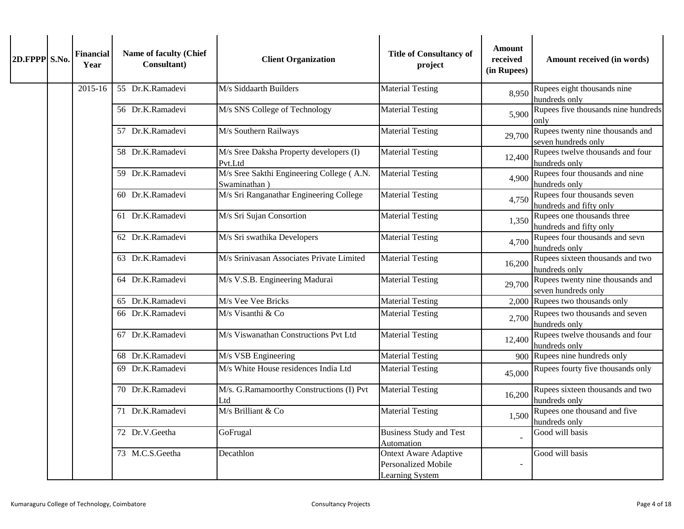| 2D.FPPP S.No. | <b>Financial</b><br>Year | Name of faculty (Chief<br>Consultant) | <b>Client Organization</b>                                | <b>Title of Consultancy of</b><br>project                                     | <b>Amount</b><br>received<br>(in Rupees) | Amount received (in words)                              |
|---------------|--------------------------|---------------------------------------|-----------------------------------------------------------|-------------------------------------------------------------------------------|------------------------------------------|---------------------------------------------------------|
|               | 2015-16                  | 55 Dr.K.Ramadevi                      | M/s Siddaarth Builders                                    | <b>Material Testing</b>                                                       | 8,950                                    | Rupees eight thousands nine<br>hundreds only            |
|               |                          | 56 Dr.K.Ramadevi                      | M/s SNS College of Technology                             | <b>Material Testing</b>                                                       | 5,900                                    | Rupees five thousands nine hundreds<br>onlv             |
|               |                          | 57 Dr.K.Ramadevi                      | M/s Southern Railways                                     | <b>Material Testing</b>                                                       | 29,700                                   | Rupees twenty nine thousands and<br>seven hundreds only |
|               |                          | 58 Dr.K.Ramadevi                      | M/s Sree Daksha Property developers (I)<br>Pvt.Ltd        | <b>Material Testing</b>                                                       | 12,400                                   | Rupees twelve thousands and four<br>hundreds only       |
|               |                          | 59 Dr.K.Ramadevi                      | M/s Sree Sakthi Engineering College (A.N.<br>Swaminathan) | <b>Material Testing</b>                                                       | 4,900                                    | Rupees four thousands and nine<br>hundreds only         |
|               |                          | 60 Dr.K.Ramadevi                      | M/s Sri Ranganathar Engineering College                   | <b>Material Testing</b>                                                       | 4,750                                    | Rupees four thousands seven<br>hundreds and fifty only  |
|               |                          | 61 Dr.K.Ramadevi                      | M/s Sri Sujan Consortion                                  | <b>Material Testing</b>                                                       | 1,350                                    | Rupees one thousands three<br>hundreds and fifty only   |
|               |                          | 62 Dr.K.Ramadevi                      | M/s Sri swathika Developers                               | <b>Material Testing</b>                                                       | 4,700                                    | Rupees four thousands and sevn<br>hundreds only         |
|               |                          | 63 Dr.K.Ramadevi                      | M/s Srinivasan Associates Private Limited                 | <b>Material Testing</b>                                                       | 16,200                                   | Rupees sixteen thousands and two<br>hundreds only       |
|               |                          | 64 Dr.K.Ramadevi                      | M/s V.S.B. Engineering Madurai                            | <b>Material Testing</b>                                                       | 29,700                                   | Rupees twenty nine thousands and<br>seven hundreds only |
|               |                          | 65 Dr.K.Ramadevi                      | M/s Vee Vee Bricks                                        | <b>Material Testing</b>                                                       |                                          | 2,000 Rupees two thousands only                         |
|               |                          | 66 Dr.K.Ramadevi                      | M/s Visanthi & Co                                         | <b>Material Testing</b>                                                       | 2,700                                    | Rupees two thousands and seven<br>hundreds only         |
|               |                          | 67 Dr.K.Ramadevi                      | M/s Viswanathan Constructions Pvt Ltd                     | <b>Material Testing</b>                                                       | 12,400                                   | Rupees twelve thousands and four<br>hundreds only       |
|               |                          | 68 Dr.K.Ramadevi                      | M/s VSB Engineering                                       | <b>Material Testing</b>                                                       |                                          | 900 Rupees nine hundreds only                           |
|               |                          | 69 Dr.K.Ramadevi                      | M/s White House residences India Ltd                      | <b>Material Testing</b>                                                       | 45,000                                   | Rupees fourty five thousands only                       |
|               |                          | 70 Dr.K.Ramadevi                      | M/s. G.Ramamoorthy Constructions (I) Pvt<br>Ltd           | <b>Material Testing</b>                                                       | 16,200                                   | Rupees sixteen thousands and two<br>hundreds only       |
|               |                          | 71 Dr.K.Ramadevi                      | M/s Brilliant & Co                                        | <b>Material Testing</b>                                                       | 1,500                                    | Rupees one thousand and five<br>hundreds only           |
|               |                          | 72 Dr.V.Geetha                        | GoFrugal                                                  | <b>Business Study and Test</b><br>Automation                                  |                                          | Good will basis                                         |
|               |                          | 73 M.C.S.Geetha                       | Decathlon                                                 | <b>Ontext Aware Adaptive</b><br><b>Personalized Mobile</b><br>Learning System |                                          | Good will basis                                         |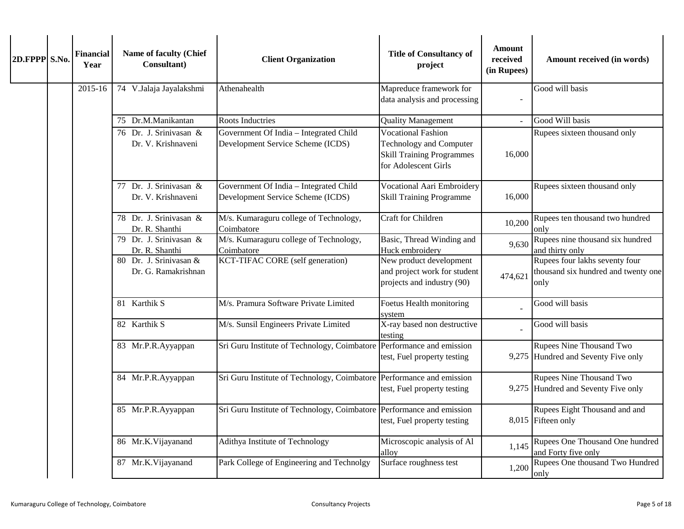| 2D.FPPP S.No. | <b>Financial</b><br>Year | Name of faculty (Chief<br>Consultant)         | <b>Client Organization</b>                                                  | <b>Title of Consultancy of</b><br>project                                                                               | <b>Amount</b><br>received<br>(in Rupees) | Amount received (in words)                                                    |
|---------------|--------------------------|-----------------------------------------------|-----------------------------------------------------------------------------|-------------------------------------------------------------------------------------------------------------------------|------------------------------------------|-------------------------------------------------------------------------------|
|               | 2015-16                  | 74 V.Jalaja Jayalakshmi                       | Athenahealth                                                                | Mapreduce framework for<br>data analysis and processing                                                                 |                                          | Good will basis                                                               |
|               |                          | 75 Dr.M.Manikantan                            | <b>Roots Inductries</b>                                                     | <b>Quality Management</b>                                                                                               |                                          | Good Will basis                                                               |
|               |                          | 76 Dr. J. Srinivasan &<br>Dr. V. Krishnaveni  | Government Of India - Integrated Child<br>Development Service Scheme (ICDS) | <b>Vocational Fashion</b><br><b>Technology and Computer</b><br><b>Skill Training Programmes</b><br>for Adolescent Girls | 16,000                                   | Rupees sixteen thousand only                                                  |
|               |                          | 77 Dr. J. Srinivasan &<br>Dr. V. Krishnaveni  | Government Of India - Integrated Child<br>Development Service Scheme (ICDS) | <b>Vocational Aari Embroidery</b><br><b>Skill Training Programme</b>                                                    | 16,000                                   | Rupees sixteen thousand only                                                  |
|               |                          | 78 Dr. J. Srinivasan &<br>Dr. R. Shanthi      | M/s. Kumaraguru college of Technology,<br>Coimbatore                        | Craft for Children                                                                                                      | 10,200                                   | Rupees ten thousand two hundred<br>only                                       |
|               |                          | 79 Dr. J. Srinivasan &<br>Dr. R. Shanthi      | M/s. Kumaraguru college of Technology,<br>Coimbatore                        | Basic, Thread Winding and<br>Huck embroidery                                                                            | 9,630                                    | Rupees nine thousand six hundred<br>and thirty only                           |
|               |                          | 80 Dr. J. Srinivasan &<br>Dr. G. Ramakrishnan | <b>KCT-TIFAC CORE</b> (self generation)                                     | New product development<br>and project work for student<br>projects and industry (90)                                   | 474,621                                  | Rupees four lakhs seventy four<br>thousand six hundred and twenty one<br>only |
|               |                          | 81 Karthik S                                  | M/s. Pramura Software Private Limited                                       | Foetus Health monitoring<br>system                                                                                      |                                          | Good will basis                                                               |
|               |                          | 82 Karthik S                                  | M/s. Sunsil Engineers Private Limited                                       | X-ray based non destructive<br>testing                                                                                  |                                          | Good will basis                                                               |
|               |                          | 83 Mr.P.R.Ayyappan                            | Sri Guru Institute of Technology, Coimbatore                                | Performance and emission<br>test, Fuel property testing                                                                 |                                          | Rupees Nine Thousand Two<br>9,275 Hundred and Seventy Five only               |
|               |                          | 84 Mr.P.R.Ayyappan                            | Sri Guru Institute of Technology, Coimbatore                                | Performance and emission<br>test, Fuel property testing                                                                 |                                          | Rupees Nine Thousand Two<br>9,275 Hundred and Seventy Five only               |
|               |                          | 85 Mr.P.R.Ayyappan                            | Sri Guru Institute of Technology, Coimbatore Performance and emission       | test, Fuel property testing                                                                                             |                                          | Rupees Eight Thousand and and<br>8,015 Fifteen only                           |
|               |                          | 86 Mr.K.Vijayanand                            | Adithya Institute of Technology                                             | Microscopic analysis of Al<br>alloy                                                                                     | 1,145                                    | Rupees One Thousand One hundred<br>and Forty five only                        |
|               |                          | 87 Mr.K.Vijayanand                            | Park College of Engineering and Technolgy                                   | Surface roughness test                                                                                                  | 1,200                                    | Rupees One thousand Two Hundred<br>only                                       |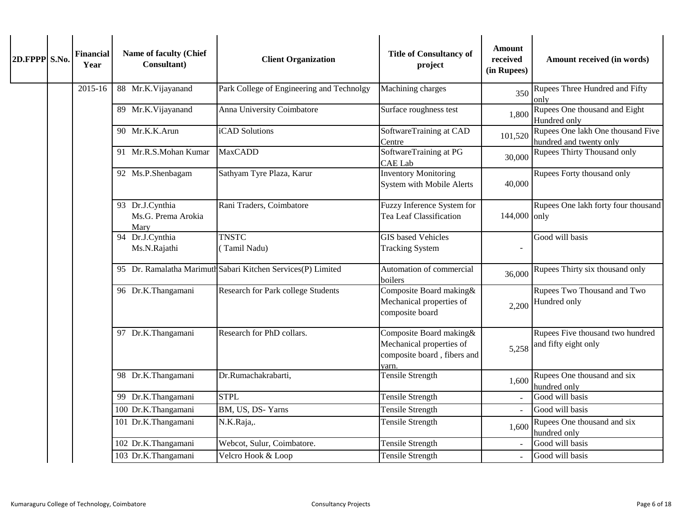| 2D.FPPP S.No. |  | <b>Financial</b><br>Year | Name of faculty (Chief<br>Consultant)         | <b>Client Organization</b>                                   | <b>Title of Consultancy of</b><br>project                                                   | <b>Amount</b><br>received<br>(in Rupees) | Amount received (in words)                                   |
|---------------|--|--------------------------|-----------------------------------------------|--------------------------------------------------------------|---------------------------------------------------------------------------------------------|------------------------------------------|--------------------------------------------------------------|
|               |  | 2015-16                  | 88 Mr.K.Vijayanand                            | Park College of Engineering and Technolgy                    | Machining charges                                                                           | 350                                      | Rupees Three Hundred and Fifty<br>onlv                       |
|               |  |                          | 89 Mr.K.Vijayanand                            | Anna University Coimbatore                                   | Surface roughness test                                                                      | 1,800                                    | Rupees One thousand and Eight<br>Hundred only                |
|               |  |                          | 90 Mr.K.K.Arun                                | iCAD Solutions                                               | SoftwareTraining at CAD<br>Centre                                                           | 101,520                                  | Rupees One lakh One thousand Five<br>hundred and twenty only |
|               |  |                          | 91 Mr.R.S.Mohan Kumar                         | <b>MaxCADD</b>                                               | SoftwareTraining at PG<br><b>CAE Lab</b>                                                    | 30,000                                   | Rupees Thirty Thousand only                                  |
|               |  |                          | 92 Ms.P.Shenbagam                             | Sathyam Tyre Plaza, Karur                                    | <b>Inventory Monitoring</b><br>System with Mobile Alerts                                    | 40,000                                   | Rupees Forty thousand only                                   |
|               |  |                          | 93 Dr.J.Cynthia<br>Ms.G. Prema Arokia<br>Mary | Rani Traders, Coimbatore                                     | Fuzzy Inference System for<br>Tea Leaf Classification                                       | 144,000 only                             | Rupees One lakh forty four thousand                          |
|               |  |                          | 94 Dr.J.Cynthia<br>Ms.N.Rajathi               | <b>TNSTC</b><br>(Tamil Nadu)                                 | <b>GIS</b> based Vehicles<br><b>Tracking System</b>                                         |                                          | Good will basis                                              |
|               |  |                          |                                               | 95 Dr. Ramalatha Marimuth Sabari Kitchen Services(P) Limited | Automation of commercial<br>boilers                                                         | 36,000                                   | Rupees Thirty six thousand only                              |
|               |  |                          | 96 Dr.K.Thangamani                            | Research for Park college Students                           | Composite Board making&<br>Mechanical properties of<br>composite board                      | 2,200                                    | Rupees Two Thousand and Two<br>Hundred only                  |
|               |  |                          | 97 Dr.K.Thangamani                            | Research for PhD collars.                                    | Composite Board making&<br>Mechanical properties of<br>composite board, fibers and<br>varn. | 5,258                                    | Rupees Five thousand two hundred<br>and fifty eight only     |
|               |  |                          | 98 Dr.K.Thangamani                            | Dr.Rumachakrabarti,                                          | <b>Tensile Strength</b>                                                                     | 1,600                                    | Rupees One thousand and six<br>hundred only                  |
|               |  |                          | 99 Dr.K.Thangamani                            | <b>STPL</b>                                                  | <b>Tensile Strength</b>                                                                     |                                          | Good will basis                                              |
|               |  |                          | 100 Dr.K.Thangamani                           | BM, US, DS-Yarns                                             | Tensile Strength                                                                            |                                          | Good will basis                                              |
|               |  |                          | 101 Dr.K.Thangamani                           | N.K.Raja,.                                                   | Tensile Strength                                                                            | 1,600                                    | Rupees One thousand and six<br>hundred only                  |
|               |  |                          | 102 Dr.K.Thangamani                           | Webcot, Sulur, Coimbatore.                                   | Tensile Strength                                                                            |                                          | Good will basis                                              |
|               |  |                          | 103 Dr.K.Thangamani                           | Velcro Hook & Loop                                           | Tensile Strength                                                                            |                                          | Good will basis                                              |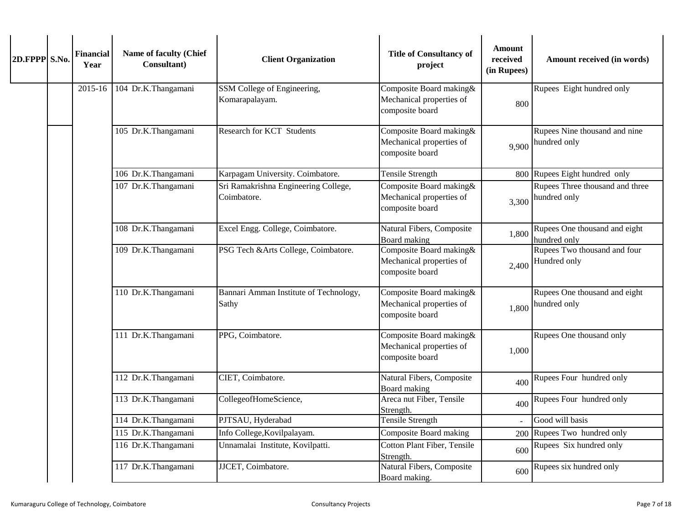| 2D.FPPP S.No. |  | <b>Financial</b><br>Year | Name of faculty (Chief<br>Consultant) | <b>Client Organization</b>                          | <b>Title of Consultancy of</b><br>project                               | Amount<br>received<br>(in Rupees) | Amount received (in words)                                             |       |                          |
|---------------|--|--------------------------|---------------------------------------|-----------------------------------------------------|-------------------------------------------------------------------------|-----------------------------------|------------------------------------------------------------------------|-------|--------------------------|
|               |  | $2015 - 16$              | 104 Dr.K.Thangamani                   | SSM College of Engineering,<br>Komarapalayam.       | Composite Board making&<br>Mechanical properties of<br>composite board  | 800                               | Rupees Eight hundred only                                              |       |                          |
|               |  |                          | 105 Dr.K.Thangamani                   | Research for KCT Students                           | Composite Board making &<br>Mechanical properties of<br>composite board | 9,900                             | Rupees Nine thousand and nine<br>hundred only                          |       |                          |
|               |  |                          | 106 Dr.K.Thangamani                   | Karpagam University. Coimbatore.                    | <b>Tensile Strength</b>                                                 |                                   | 800 Rupees Eight hundred only                                          |       |                          |
|               |  |                          | 107 Dr.K.Thangamani                   | Sri Ramakrishna Engineering College,<br>Coimbatore. | Composite Board making&<br>Mechanical properties of<br>composite board  | 3,300                             | Rupees Three thousand and three<br>hundred only                        |       |                          |
|               |  |                          | 108 Dr.K.Thangamani                   | Excel Engg. College, Coimbatore.                    | Natural Fibers, Composite<br>Board making                               | 1,800                             | Rupees One thousand and eight<br>hundred only                          |       |                          |
|               |  |                          | 109 Dr.K.Thangamani                   | PSG Tech &Arts College, Coimbatore.                 | Composite Board making&<br>Mechanical properties of<br>composite board  | 2,400                             | Rupees Two thousand and four<br>Hundred only                           |       |                          |
|               |  |                          | 110 Dr.K.Thangamani                   | Bannari Amman Institute of Technology,<br>Sathy     | Composite Board making&<br>Mechanical properties of<br>composite board  | 1,800                             | Rupees One thousand and eight<br>hundred only                          |       |                          |
|               |  |                          |                                       |                                                     | 111 Dr.K.Thangamani                                                     | PPG, Coimbatore.                  | Composite Board making&<br>Mechanical properties of<br>composite board | 1,000 | Rupees One thousand only |
|               |  |                          | 112 Dr.K.Thangamani                   | CIET, Coimbatore.                                   | Natural Fibers, Composite<br>Board making                               | 400                               | Rupees Four hundred only                                               |       |                          |
|               |  |                          | 113 Dr.K.Thangamani                   | CollegeofHomeScience,                               | Areca nut Fiber, Tensile<br>Strength.                                   | 400                               | Rupees Four hundred only                                               |       |                          |
|               |  |                          | 114 Dr.K.Thangamani                   | PJTSAU, Hyderabad                                   | <b>Tensile Strength</b>                                                 | $\omega$                          | Good will basis                                                        |       |                          |
|               |  |                          | 115 Dr.K.Thangamani                   | Info College, Kovilpalayam.                         | Composite Board making                                                  | 200                               | Rupees Two hundred only                                                |       |                          |
|               |  |                          | 116 Dr.K.Thangamani                   | Unnamalai Institute, Kovilpatti.                    | Cotton Plant Fiber, Tensile<br>Strength.                                | 600                               | Rupees Six hundred only                                                |       |                          |
|               |  |                          | 117 Dr.K.Thangamani                   | JJCET, Coimbatore.                                  | Natural Fibers, Composite<br>Board making                               | 600                               | Rupees six hundred only                                                |       |                          |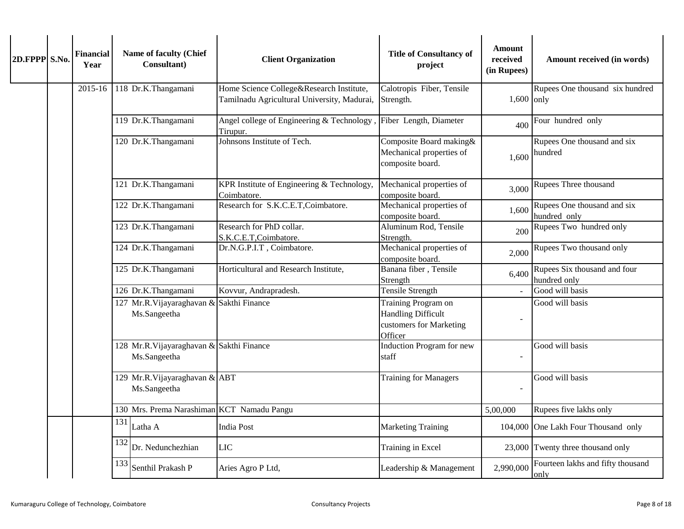| 2D.FPPP S.No. |  | <b>Financial</b><br>Year | Name of faculty (Chief<br>Consultant)                    | <b>Client Organization</b>                                                              | <b>Title of Consultancy of</b><br>project                               | Amount<br>received<br>(in Rupees)                                                      | Amount received (in words)                   |                 |                                               |  |                              |  |                 |
|---------------|--|--------------------------|----------------------------------------------------------|-----------------------------------------------------------------------------------------|-------------------------------------------------------------------------|----------------------------------------------------------------------------------------|----------------------------------------------|-----------------|-----------------------------------------------|--|------------------------------|--|-----------------|
|               |  | 2015-16                  | 118 Dr.K.Thangamani                                      | Home Science College&Research Institute,<br>Tamilnadu Agricultural University, Madurai, | Calotropis Fiber, Tensile<br>Strength.                                  | $1,600$ only                                                                           | Rupees One thousand six hundred              |                 |                                               |  |                              |  |                 |
|               |  |                          | 119 Dr.K.Thangamani                                      | Angel college of Engineering & Technology,<br>Tirupur.                                  | Fiber Length, Diameter                                                  | 400                                                                                    | Four hundred only                            |                 |                                               |  |                              |  |                 |
|               |  |                          | 120 Dr.K.Thangamani                                      | Johnsons Institute of Tech.                                                             | Composite Board making&<br>Mechanical properties of<br>composite board. | 1,600                                                                                  | Rupees One thousand and six<br>hundred       |                 |                                               |  |                              |  |                 |
|               |  |                          | 121 Dr.K.Thangamani                                      | KPR Institute of Engineering & Technology,<br>Coimbatore.                               | Mechanical properties of<br>composite board.                            | 3,000                                                                                  | Rupees Three thousand                        |                 |                                               |  |                              |  |                 |
|               |  |                          | 122 Dr.K.Thangamani                                      | Research for S.K.C.E.T, Coimbatore.                                                     | Mechanical properties of<br>composite board.                            | 1,600                                                                                  | Rupees One thousand and six<br>hundred only  |                 |                                               |  |                              |  |                 |
|               |  |                          | 123 Dr.K.Thangamani                                      | Research for PhD collar.<br>S.K.C.E.T,Coimbatore.                                       | Aluminum Rod, Tensile<br>Strength.                                      | 200                                                                                    | Rupees Two hundred only                      |                 |                                               |  |                              |  |                 |
|               |  |                          | 124 Dr.K.Thangamani                                      | Dr.N.G.P.I.T, Coimbatore.                                                               | Mechanical properties of<br>composite board.                            | 2,000                                                                                  | Rupees Two thousand only                     |                 |                                               |  |                              |  |                 |
|               |  |                          | 125 Dr.K.Thangamani                                      | Horticultural and Research Institute,                                                   | Banana fiber, Tensile<br>Strength                                       | 6,400                                                                                  | Rupees Six thousand and four<br>hundred only |                 |                                               |  |                              |  |                 |
|               |  |                          | 126 Dr.K.Thangamani                                      | Kovvur, Andrapradesh.                                                                   | <b>Tensile Strength</b>                                                 |                                                                                        | Good will basis                              |                 |                                               |  |                              |  |                 |
|               |  |                          |                                                          | 127 Mr.R.Vijayaraghavan &<br>Ms.Sangeetha                                               | Sakthi Finance                                                          | Training Program on<br><b>Handling Difficult</b><br>customers for Marketing<br>Officer |                                              | Good will basis |                                               |  |                              |  |                 |
|               |  |                          | 128 Mr.R.Vijayaraghavan & Sakthi Finance<br>Ms.Sangeetha |                                                                                         | <b>Induction Program for new</b><br>staff                               |                                                                                        | Good will basis                              |                 |                                               |  |                              |  |                 |
|               |  |                          |                                                          |                                                                                         |                                                                         |                                                                                        |                                              |                 | 129 Mr.R.Vijayaraghavan & ABT<br>Ms.Sangeetha |  | <b>Training for Managers</b> |  | Good will basis |
|               |  |                          | 130 Mrs. Prema Narashiman KCT Namadu Pangu               |                                                                                         |                                                                         | 5,00,000                                                                               | Rupees five lakhs only                       |                 |                                               |  |                              |  |                 |
|               |  |                          | 131<br>Latha A                                           | <b>India Post</b>                                                                       | <b>Marketing Training</b>                                               |                                                                                        | 104,000 One Lakh Four Thousand only          |                 |                                               |  |                              |  |                 |
|               |  |                          | 132<br>Dr. Nedunchezhian                                 | <b>LIC</b>                                                                              | Training in Excel                                                       |                                                                                        | 23,000 Twenty three thousand only            |                 |                                               |  |                              |  |                 |
|               |  |                          | 133<br>Senthil Prakash P                                 | Aries Agro P Ltd,                                                                       | Leadership & Management                                                 | 2.990,000                                                                              | Fourteen lakhs and fifty thousand<br>only    |                 |                                               |  |                              |  |                 |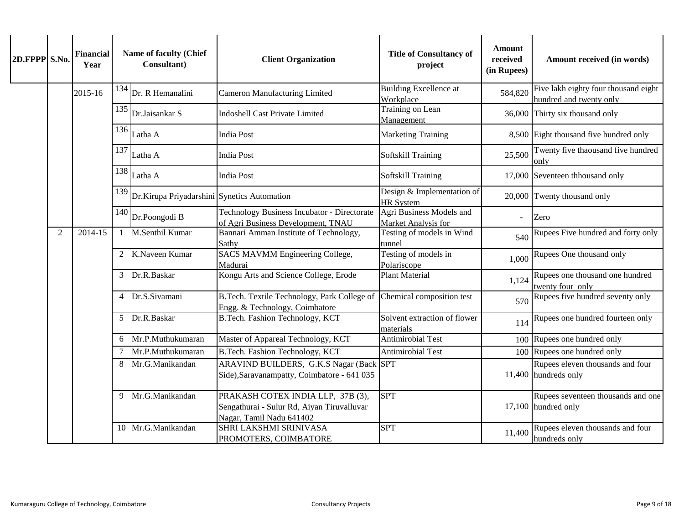| 2D.FPPP S.No. |   | <b>Financial</b><br>Year |        | Name of faculty (Chief<br>Consultant)       | <b>Client Organization</b>                                                                                  | <b>Title of Consultancy of</b><br>project       | <b>Amount</b><br>received<br>(in Rupees) | Amount received (in words)                                      |  |  |  |  |  |  |  |  |  |               |                                 |                                           |     |                                  |
|---------------|---|--------------------------|--------|---------------------------------------------|-------------------------------------------------------------------------------------------------------------|-------------------------------------------------|------------------------------------------|-----------------------------------------------------------------|--|--|--|--|--|--|--|--|--|---------------|---------------------------------|-------------------------------------------|-----|----------------------------------|
|               |   | 2015-16                  | 134    | Dr. R Hemanalini                            | <b>Cameron Manufacturing Limited</b>                                                                        | <b>Building Excellence at</b><br>Workplace      | 584,820                                  | Five lakh eighty four thousand eight<br>hundred and twenty only |  |  |  |  |  |  |  |  |  |               |                                 |                                           |     |                                  |
|               |   |                          | 135    | Dr.Jaisankar S                              | <b>Indoshell Cast Private Limited</b>                                                                       | Training on Lean<br>Management                  |                                          | 36,000 Thirty six thousand only                                 |  |  |  |  |  |  |  |  |  |               |                                 |                                           |     |                                  |
|               |   |                          | 136    | Latha A                                     | <b>India Post</b>                                                                                           | Marketing Training                              |                                          | 8,500 Eight thousand five hundred only                          |  |  |  |  |  |  |  |  |  |               |                                 |                                           |     |                                  |
|               |   |                          | 137    | Latha A                                     | <b>India Post</b>                                                                                           | Softskill Training                              | 25,500                                   | Twenty five thaousand five hundred<br>only                      |  |  |  |  |  |  |  |  |  |               |                                 |                                           |     |                                  |
|               |   |                          |        | $138$ Latha A                               | <b>India Post</b>                                                                                           | Softskill Training                              |                                          | 17,000 Seventeen thhousand only                                 |  |  |  |  |  |  |  |  |  |               |                                 |                                           |     |                                  |
|               |   |                          | 139    | Dr.Kirupa Priyadarshini Synetics Automation |                                                                                                             | Design & Implementation of<br><b>HR</b> System  |                                          | 20,000 Twenty thousand only                                     |  |  |  |  |  |  |  |  |  |               |                                 |                                           |     |                                  |
|               |   |                          | 140    | Dr.Poongodi B                               | <b>Technology Business Incubator - Directorate</b><br>of Agri Business Development, TNAU                    | Agri Business Models and<br>Market Analysis for | $\overline{\phantom{a}}$                 | Zero                                                            |  |  |  |  |  |  |  |  |  |               |                                 |                                           |     |                                  |
|               | 2 | 2014-15                  |        | 1 M.Senthil Kumar                           | Bannari Amman Institute of Technology,<br>Sathy                                                             | Testing of models in Wind<br>tunnel             | 540                                      | Rupees Five hundred and forty only                              |  |  |  |  |  |  |  |  |  |               |                                 |                                           |     |                                  |
|               |   |                          |        | 2 K.Naveen Kumar                            | <b>SACS MAVMM Engineering College,</b><br>Madurai                                                           | Testing of models in<br>Polariscope             | 1,000                                    | Rupees One thousand only                                        |  |  |  |  |  |  |  |  |  |               |                                 |                                           |     |                                  |
|               |   |                          |        | 3 Dr.R.Baskar                               | Kongu Arts and Science College, Erode                                                                       | <b>Plant Material</b>                           | 1,124                                    | Rupees one thousand one hundred<br>twenty four only             |  |  |  |  |  |  |  |  |  |               |                                 |                                           |     |                                  |
|               |   |                          |        | 4 Dr.S.Sivamani                             | B.Tech. Textile Technology, Park College of<br>Engg. & Technology, Coimbatore                               | Chemical composition test                       | 570                                      | Rupees five hundred seventy only                                |  |  |  |  |  |  |  |  |  |               |                                 |                                           |     |                                  |
|               |   |                          |        |                                             |                                                                                                             |                                                 |                                          |                                                                 |  |  |  |  |  |  |  |  |  | 5 Dr.R.Baskar | B.Tech. Fashion Technology, KCT | Solvent extraction of flower<br>materials | 114 | Rupees one hundred fourteen only |
|               |   |                          |        | 6 Mr.P.Muthukumaran                         | Master of Appareal Technology, KCT                                                                          | <b>Antimirobial Test</b>                        |                                          | 100 Rupees one hundred only                                     |  |  |  |  |  |  |  |  |  |               |                                 |                                           |     |                                  |
|               |   |                          | $\tau$ | Mr.P.Muthukumaran                           | B.Tech. Fashion Technology, KCT                                                                             | Antimirobial Test                               |                                          | 100 Rupees one hundred only                                     |  |  |  |  |  |  |  |  |  |               |                                 |                                           |     |                                  |
|               |   |                          |        | 8 Mr.G.Manikandan                           | ARAVIND BUILDERS, G.K.S Nagar (Back SPT<br>Side), Saravanampatty, Coimbatore - 641 035                      |                                                 |                                          | Rupees eleven thousands and four<br>11,400 hundreds only        |  |  |  |  |  |  |  |  |  |               |                                 |                                           |     |                                  |
|               |   |                          |        | 9 Mr.G.Manikandan                           | PRAKASH COTEX INDIA LLP, 37B (3),<br>Sengathurai - Sulur Rd, Aiyan Tiruvalluvar<br>Nagar, Tamil Nadu 641402 | <b>SPT</b>                                      |                                          | Rupees seventeen thousands and one<br>17,100 hundred only       |  |  |  |  |  |  |  |  |  |               |                                 |                                           |     |                                  |
|               |   |                          |        | 10 Mr.G.Manikandan                          | SHRI LAKSHMI SRINIVASA<br>PROMOTERS, COIMBATORE                                                             | <b>SPT</b>                                      | 11,400                                   | Rupees eleven thousands and four<br>hundreds only               |  |  |  |  |  |  |  |  |  |               |                                 |                                           |     |                                  |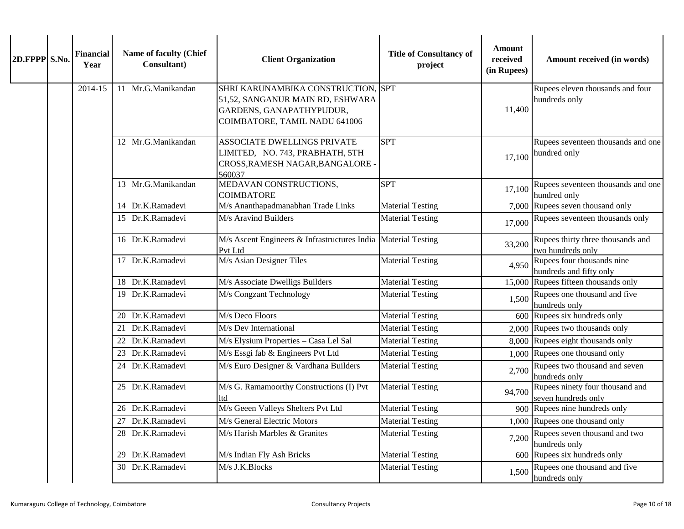| 2D.FPPP S.No. | <b>Financial</b><br>Year | Name of faculty (Chief<br>Consultant) | <b>Client Organization</b>                                                                                                          | <b>Title of Consultancy of</b><br>project | Amount<br>received<br>(in Rupees) | Amount received (in words)                             |
|---------------|--------------------------|---------------------------------------|-------------------------------------------------------------------------------------------------------------------------------------|-------------------------------------------|-----------------------------------|--------------------------------------------------------|
|               | 2014-15                  | 11 Mr.G.Manikandan                    | SHRI KARUNAMBIKA CONSTRUCTION, SPT<br>51,52, SANGANUR MAIN RD, ESHWARA<br>GARDENS, GANAPATHYPUDUR,<br>COIMBATORE, TAMIL NADU 641006 |                                           | 11,400                            | Rupees eleven thousands and four<br>hundreds only      |
|               |                          | 12 Mr.G.Manikandan                    | ASSOCIATE DWELLINGS PRIVATE<br>LIMITED, NO. 743, PRABHATH, 5TH<br>CROSS, RAMESH NAGAR, BANGALORE -<br>560037                        | <b>SPT</b>                                | 17,100                            | Rupees seventeen thousands and one<br>hundred only     |
|               |                          | 13 Mr.G.Manikandan                    | MEDAVAN CONSTRUCTIONS,<br><b>COIMBATORE</b>                                                                                         | <b>SPT</b>                                | 17,100                            | Rupees seventeen thousands and one<br>hundred only     |
|               |                          | 14 Dr.K.Ramadevi                      | M/s Ananthapadmanabhan Trade Links                                                                                                  | <b>Material Testing</b>                   |                                   | 7,000 Rupees seven thousand only                       |
|               |                          | 15 Dr.K.Ramadevi                      | M/s Aravind Builders                                                                                                                | <b>Material Testing</b>                   | 17,000                            | Rupees seventeen thousands only                        |
|               |                          | 16 Dr.K.Ramadevi                      | M/s Ascent Engineers & Infrastructures India<br>Pvt Ltd                                                                             | <b>Material Testing</b>                   | 33,200                            | Rupees thirty three thousands and<br>two hundreds only |
|               |                          | 17 Dr.K.Ramadevi                      | M/s Asian Designer Tiles                                                                                                            | <b>Material Testing</b>                   | 4,950                             | Rupees four thousands nine<br>hundreds and fifty only  |
|               |                          | 18 Dr.K.Ramadevi                      | M/s Associate Dwelligs Builders                                                                                                     | <b>Material Testing</b>                   |                                   | 15,000 Rupees fifteen thousands only                   |
|               |                          | 19 Dr.K.Ramadevi                      | M/s Congzant Technology                                                                                                             | <b>Material Testing</b>                   | 1,500                             | Rupees one thousand and five<br>hundreds only          |
|               |                          | 20 Dr.K.Ramadevi                      | M/s Deco Floors                                                                                                                     | <b>Material Testing</b>                   |                                   | 600 Rupees six hundreds only                           |
|               |                          | 21 Dr.K.Ramadevi                      | M/s Dev International                                                                                                               | <b>Material Testing</b>                   |                                   | 2,000 Rupees two thousands only                        |
|               |                          | 22 Dr.K.Ramadevi                      | M/s Elysium Properties - Casa Lel Sal                                                                                               | <b>Material Testing</b>                   |                                   | 8,000 Rupees eight thousands only                      |
|               |                          | 23 Dr.K.Ramadevi                      | M/s Essgi fab & Engineers Pvt Ltd                                                                                                   | <b>Material Testing</b>                   |                                   | 1,000 Rupees one thousand only                         |
|               |                          | 24 Dr.K.Ramadevi                      | M/s Euro Designer & Vardhana Builders                                                                                               | <b>Material Testing</b>                   | 2,700                             | Rupees two thousand and seven<br>hundreds only         |
|               |                          | 25 Dr.K.Ramadevi                      | M/s G. Ramamoorthy Constructions (I) Pvt<br><b>ltd</b>                                                                              | <b>Material Testing</b>                   | 94,700                            | Rupees ninety four thousand and<br>seven hundreds only |
|               |                          | 26 Dr.K.Ramadevi                      | M/s Geeen Valleys Shelters Pvt Ltd                                                                                                  | <b>Material Testing</b>                   |                                   | 900 Rupees nine hundreds only                          |
|               |                          | 27 Dr.K.Ramadevi                      | M/s General Electric Motors                                                                                                         | <b>Material Testing</b>                   |                                   | 1,000 Rupees one thousand only                         |
|               |                          | 28 Dr.K.Ramadevi                      | M/s Harish Marbles & Granites                                                                                                       | <b>Material Testing</b>                   | 7,200                             | Rupees seven thousand and two<br>hundreds only         |
|               |                          | 29 Dr.K.Ramadevi                      | M/s Indian Fly Ash Bricks                                                                                                           | <b>Material Testing</b>                   |                                   | 600 Rupees six hundreds only                           |
|               |                          | 30 Dr.K.Ramadevi                      | M/s J.K.Blocks                                                                                                                      | <b>Material Testing</b>                   | 1,500                             | Rupees one thousand and five<br>hundreds only          |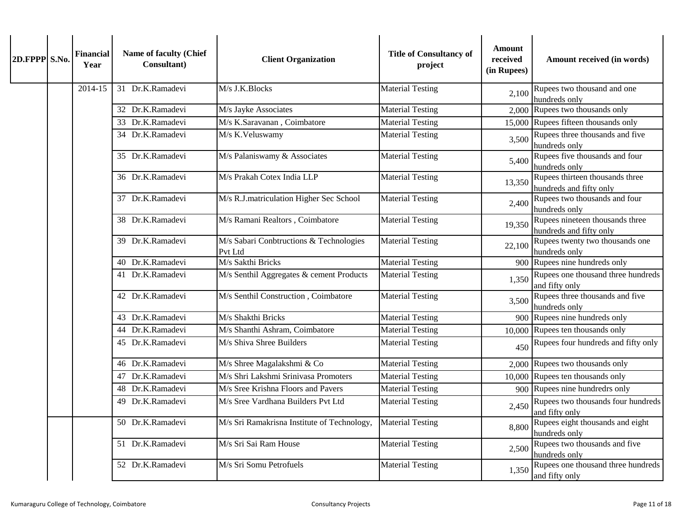| 2D.FPPP S.No. |  | <b>Financial</b><br>Year | Name of faculty (Chief<br>Consultant) | <b>Client Organization</b>                         | <b>Title of Consultancy of</b><br>project | Amount<br>received<br>(in Rupees) | Amount received (in words)                                 |
|---------------|--|--------------------------|---------------------------------------|----------------------------------------------------|-------------------------------------------|-----------------------------------|------------------------------------------------------------|
|               |  | 2014-15                  | 31 Dr.K.Ramadevi                      | M/s J.K.Blocks                                     | <b>Material Testing</b>                   | 2,100                             | Rupees two thousand and one<br>hundreds only               |
|               |  |                          | 32 Dr.K.Ramadevi                      | M/s Jayke Associates                               | <b>Material Testing</b>                   |                                   | 2,000 Rupees two thousands only                            |
|               |  |                          | 33 Dr.K.Ramadevi                      | M/s K.Saravanan, Coimbatore                        | <b>Material Testing</b>                   |                                   | 15,000 Rupees fifteen thousands only                       |
|               |  |                          | 34 Dr.K.Ramadevi                      | M/s K.Veluswamy                                    | <b>Material Testing</b>                   | 3,500                             | Rupees three thousands and five<br>hundreds only           |
|               |  |                          | 35 Dr.K.Ramadevi                      | M/s Palaniswamy & Associates                       | <b>Material Testing</b>                   | 5,400                             | Rupees five thousands and four<br>hundreds only            |
|               |  |                          | 36 Dr.K.Ramadevi                      | M/s Prakah Cotex India LLP                         | <b>Material Testing</b>                   | 13,350                            | Rupees thirteen thousands three<br>hundreds and fifty only |
|               |  |                          | 37 Dr.K.Ramadevi                      | M/s R.J.matriculation Higher Sec School            | <b>Material Testing</b>                   | 2,400                             | Rupees two thousands and four<br>hundreds only             |
|               |  |                          | 38 Dr.K.Ramadevi                      | M/s Ramani Realtors, Coimbatore                    | <b>Material Testing</b>                   | 19,350                            | Rupees nineteen thousands three<br>hundreds and fifty only |
|               |  |                          | 39 Dr.K.Ramadevi                      | M/s Sabari Conbtructions & Technologies<br>Pvt Ltd | <b>Material Testing</b>                   | 22,100                            | Rupees twenty two thousands one<br>hundreds only           |
|               |  |                          | 40 Dr.K.Ramadevi                      | M/s Sakthi Bricks                                  | <b>Material Testing</b>                   | 900                               | Rupees nine hundreds only                                  |
|               |  |                          | 41 Dr.K.Ramadevi                      | M/s Senthil Aggregates & cement Products           | <b>Material Testing</b>                   | 1,350                             | Rupees one thousand three hundreds<br>and fifty only       |
|               |  |                          | 42 Dr.K.Ramadevi                      | M/s Senthil Construction, Coimbatore               | <b>Material Testing</b>                   | 3,500                             | Rupees three thousands and five<br>hundreds only           |
|               |  |                          | 43 Dr.K.Ramadevi                      | M/s Shakthi Bricks                                 | <b>Material Testing</b>                   |                                   | 900 Rupees nine hundreds only                              |
|               |  |                          | 44 Dr.K.Ramadevi                      | M/s Shanthi Ashram, Coimbatore                     | <b>Material Testing</b>                   |                                   | 10,000 Rupees ten thousands only                           |
|               |  |                          | 45 Dr.K.Ramadevi                      | M/s Shiva Shree Builders                           | <b>Material Testing</b>                   | 450                               | Rupees four hundreds and fifty only                        |
|               |  |                          | 46 Dr.K.Ramadevi                      | M/s Shree Magalakshmi & Co                         | <b>Material Testing</b>                   |                                   | 2,000 Rupees two thousands only                            |
|               |  |                          | 47 Dr.K.Ramadevi                      | M/s Shri Lakshmi Srinivasa Promoters               | <b>Material Testing</b>                   |                                   | 10,000 Rupees ten thousands only                           |
|               |  |                          | 48 Dr.K.Ramadevi                      | M/s Sree Krishna Floors and Pavers                 | <b>Material Testing</b>                   |                                   | 900 Rupees nine hundredrs only                             |
|               |  |                          | 49 Dr.K.Ramadevi                      | M/s Sree Vardhana Builders Pvt Ltd                 | <b>Material Testing</b>                   | 2,450                             | Rupees two thousands four hundreds<br>and fifty only       |
|               |  |                          | 50 Dr.K.Ramadevi                      | M/s Sri Ramakrisna Institute of Technology,        | <b>Material Testing</b>                   | 8,800                             | Rupees eight thousands and eight<br>hundreds only          |
|               |  |                          | 51 Dr.K.Ramadevi                      | M/s Sri Sai Ram House                              | <b>Material Testing</b>                   | 2,500                             | Rupees two thousands and five<br>hundreds only             |
|               |  |                          | 52 Dr.K.Ramadevi                      | M/s Sri Somu Petrofuels                            | <b>Material Testing</b>                   | 1,350                             | Rupees one thousand three hundreds<br>and fifty only       |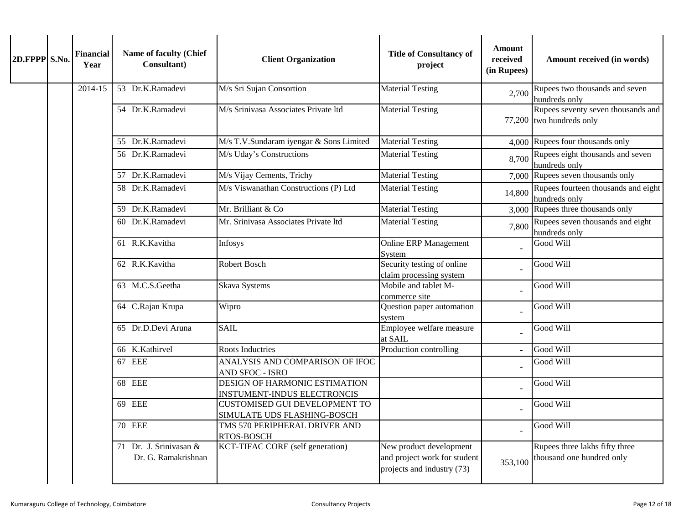| 2D.FPPP S.No. |  | <b>Financial</b><br>Year | Name of faculty (Chief<br>Consultant)         | <b>Client Organization</b>                                          | <b>Title of Consultancy of</b><br>project                                             | <b>Amount</b><br>received<br>(in Rupees) | Amount received (in words)                                     |
|---------------|--|--------------------------|-----------------------------------------------|---------------------------------------------------------------------|---------------------------------------------------------------------------------------|------------------------------------------|----------------------------------------------------------------|
|               |  | 2014-15                  | 53 Dr.K.Ramadevi                              | M/s Sri Sujan Consortion                                            | <b>Material Testing</b>                                                               | 2,700                                    | Rupees two thousands and seven<br>hundreds only                |
|               |  |                          | 54 Dr.K.Ramadevi                              | M/s Srinivasa Associates Private ltd                                | <b>Material Testing</b>                                                               |                                          | Rupees seventy seven thousands and<br>77,200 two hundreds only |
|               |  |                          | 55 Dr.K.Ramadevi                              | M/s T.V.Sundaram iyengar & Sons Limited                             | <b>Material Testing</b>                                                               |                                          | 4,000 Rupees four thousands only                               |
|               |  |                          | 56 Dr.K.Ramadevi                              | M/s Uday's Constructions                                            | <b>Material Testing</b>                                                               | 8,700                                    | Rupees eight thousands and seven<br>hundreds only              |
|               |  |                          | 57 Dr.K.Ramadevi                              | M/s Vijay Cements, Trichy                                           | <b>Material Testing</b>                                                               |                                          | 7,000 Rupees seven thousands only                              |
|               |  |                          | 58 Dr.K.Ramadevi                              | M/s Viswanathan Constructions (P) Ltd                               | <b>Material Testing</b>                                                               | 14,800                                   | Rupees fourteen thousands and eight<br>hundreds only           |
|               |  |                          | 59 Dr.K.Ramadevi                              | Mr. Brilliant & Co                                                  | <b>Material Testing</b>                                                               |                                          | 3,000 Rupees three thousands only                              |
|               |  |                          | 60 Dr.K.Ramadevi                              | Mr. Srinivasa Associates Private ltd                                | <b>Material Testing</b>                                                               | 7,800                                    | Rupees seven thousands and eight<br>hundreds only              |
|               |  |                          | 61 R.K.Kavitha                                | Infosys                                                             | <b>Online ERP Management</b><br>System                                                |                                          | Good Will                                                      |
|               |  |                          | 62 R.K.Kavitha                                | <b>Robert Bosch</b>                                                 | Security testing of online<br>claim processing system                                 |                                          | Good Will                                                      |
|               |  |                          | 63 M.C.S.Geetha                               | <b>Skava Systems</b>                                                | Mobile and tablet M-<br>commerce site                                                 |                                          | Good Will                                                      |
|               |  |                          | 64 C.Rajan Krupa                              | Wipro                                                               | Question paper automation<br>system                                                   |                                          | Good Will                                                      |
|               |  |                          | 65 Dr.D.Devi Aruna                            | <b>SAIL</b>                                                         | Employee welfare measure<br>at SAIL                                                   |                                          | Good Will                                                      |
|               |  |                          | 66 K.Kathirvel                                | <b>Roots Inductries</b>                                             | Production controlling                                                                |                                          | Good Will                                                      |
|               |  |                          | 67 EEE                                        | ANALYSIS AND COMPARISON OF IFOC<br>AND SFOC - ISRO                  |                                                                                       |                                          | Good Will                                                      |
|               |  |                          | 68 EEE                                        | DESIGN OF HARMONIC ESTIMATION<br><b>INSTUMENT-INDUS ELECTRONCIS</b> |                                                                                       |                                          | Good Will                                                      |
|               |  |                          | 69 EEE                                        | <b>CUSTOMISED GUI DEVELOPMENT TO</b><br>SIMULATE UDS FLASHING-BOSCH |                                                                                       |                                          | Good Will                                                      |
|               |  |                          | <b>70 EEE</b>                                 | TMS 570 PERIPHERAL DRIVER AND<br>RTOS-BOSCH                         |                                                                                       | $\overline{a}$                           | Good Will                                                      |
|               |  |                          | 71 Dr. J. Srinivasan &<br>Dr. G. Ramakrishnan | <b>KCT-TIFAC CORE</b> (self generation)                             | New product development<br>and project work for student<br>projects and industry (73) | 353,100                                  | Rupees three lakhs fifty three<br>thousand one hundred only    |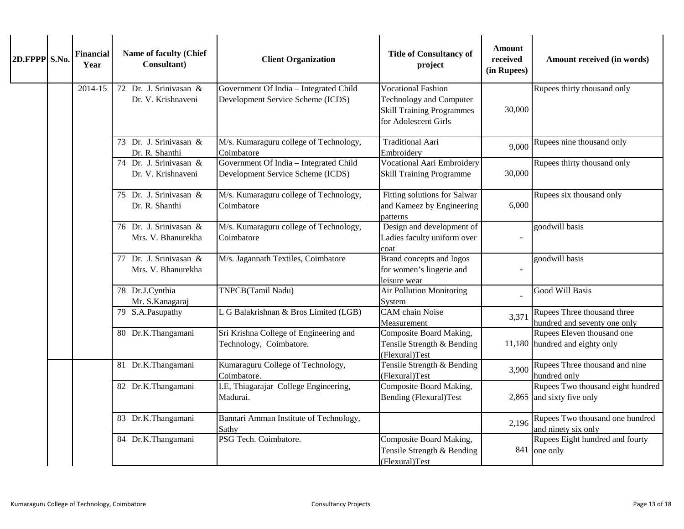| 2D.FPPP S.No. | <b>Financial</b><br>Year | Name of faculty (Chief<br>Consultant)        | <b>Client Organization</b>                                                  | <b>Title of Consultancy of</b><br>project                                                                               | <b>Amount</b><br>received<br>(in Rupees) | Amount received (in words)                                     |
|---------------|--------------------------|----------------------------------------------|-----------------------------------------------------------------------------|-------------------------------------------------------------------------------------------------------------------------|------------------------------------------|----------------------------------------------------------------|
|               | 2014-15                  | 72 Dr. J. Srinivasan &<br>Dr. V. Krishnaveni | Government Of India - Integrated Child<br>Development Service Scheme (ICDS) | <b>Vocational Fashion</b><br><b>Technology and Computer</b><br><b>Skill Training Programmes</b><br>for Adolescent Girls | 30,000                                   | Rupees thirty thousand only                                    |
|               |                          | 73 Dr. J. Srinivasan &<br>Dr. R. Shanthi     | M/s. Kumaraguru college of Technology,<br>Coimbatore                        | <b>Traditional Aari</b><br>Embroidery                                                                                   | 9,000                                    | Rupees nine thousand only                                      |
|               |                          | 74 Dr. J. Srinivasan &<br>Dr. V. Krishnaveni | Government Of India - Integrated Child<br>Development Service Scheme (ICDS) | Vocational Aari Embroidery<br><b>Skill Training Programme</b>                                                           | 30,000                                   | Rupees thirty thousand only                                    |
|               |                          | 75 Dr. J. Srinivasan &<br>Dr. R. Shanthi     | M/s. Kumaraguru college of Technology,<br>Coimbatore                        | Fitting solutions for Salwar<br>and Kameez by Engineering<br>patterns                                                   | 6,000                                    | Rupees six thousand only                                       |
|               |                          | 76 Dr. J. Srinivasan &<br>Mrs. V. Bhanurekha | M/s. Kumaraguru college of Technology,<br>Coimbatore                        | Design and development of<br>Ladies faculty uniform over<br>coat                                                        |                                          | goodwill basis                                                 |
|               |                          | 77 Dr. J. Srinivasan &<br>Mrs. V. Bhanurekha | M/s. Jagannath Textiles, Coimbatore                                         | Brand concepts and logos<br>for women's lingerie and<br>leisure wear                                                    |                                          | goodwill basis                                                 |
|               |                          | 78 Dr.J.Cynthia<br>Mr. S.Kanagaraj           | TNPCB(Tamil Nadu)                                                           | <b>Air Pollution Monitoring</b><br>System                                                                               |                                          | Good Will Basis                                                |
|               |                          | 79 S.A.Pasupathy                             | L G Balakrishnan & Bros Limited (LGB)                                       | CAM chain Noise<br>Measurement                                                                                          | 3,371                                    | Rupees Three thousand three<br>hundred and seventy one only    |
|               |                          | 80 Dr.K.Thangamani                           | Sri Krishna College of Engineering and<br>Technology, Coimbatore.           | Composite Board Making,<br>Tensile Strength & Bending<br>(Flexural)Test                                                 |                                          | Rupees Eleven thousand one<br>11,180 hundred and eighty only   |
|               |                          | 81 Dr.K.Thangamani                           | Kumaraguru College of Technology,<br>Coimbatore.                            | Tensile Strength & Bending<br>(Flexural)Test                                                                            | 3,900                                    | Rupees Three thousand and nine<br>hundred only                 |
|               |                          | 82 Dr.K.Thangamani                           | I.E, Thiagarajar College Engineering,<br>Madurai.                           | Composite Board Making,<br><b>Bending (Flexural)Test</b>                                                                |                                          | Rupees Two thousand eight hundred<br>2,865 and sixty five only |
|               |                          | 83 Dr.K.Thangamani                           | Bannari Amman Institute of Technology,<br>Sathy                             |                                                                                                                         | 2,196                                    | Rupees Two thousand one hundred<br>and ninety six only         |
|               |                          | 84 Dr.K.Thangamani                           | PSG Tech. Coimbatore.                                                       | Composite Board Making,<br>Tensile Strength & Bending<br>(Flexural)Test                                                 |                                          | Rupees Eight hundred and fourty<br>841 one only                |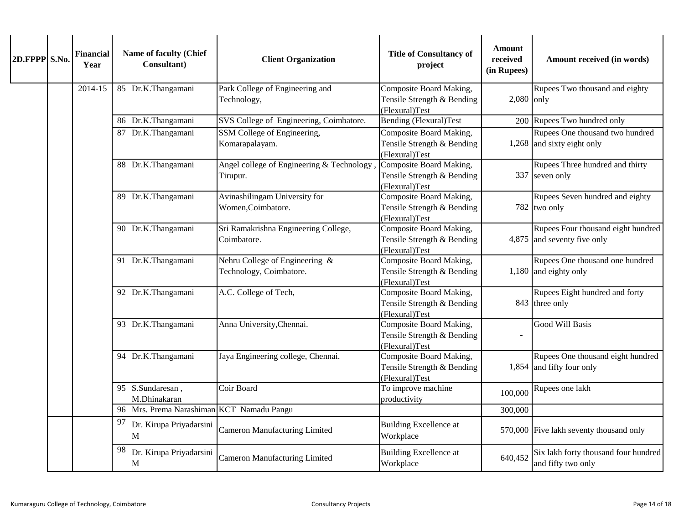| 2D.FPPP S.No. | <b>Financial</b><br>Year | Name of faculty (Chief<br>Consultant)     | <b>Client Organization</b>                                | <b>Title of Consultancy of</b><br>project                               | <b>Amount</b><br>received<br>(in Rupees)                                | Amount received (in words)                                          |
|---------------|--------------------------|-------------------------------------------|-----------------------------------------------------------|-------------------------------------------------------------------------|-------------------------------------------------------------------------|---------------------------------------------------------------------|
|               | 2014-15                  | 85 Dr.K.Thangamani                        | Park College of Engineering and<br>Technology,            | Composite Board Making,<br>Tensile Strength & Bending<br>(Flexural)Test | $2,080$ only                                                            | Rupees Two thousand and eighty                                      |
|               |                          | 86 Dr.K.Thangamani                        | SVS College of Engineering, Coimbatore.                   | Bending (Flexural)Test                                                  |                                                                         | 200 Rupees Two hundred only                                         |
|               |                          | 87 Dr.K.Thangamani                        | SSM College of Engineering,<br>Komarapalayam.             | Composite Board Making,<br>Tensile Strength & Bending<br>(Flexural)Test |                                                                         | Rupees One thousand two hundred<br>1,268 and sixty eight only       |
|               |                          | 88 Dr.K.Thangamani                        | Angel college of Engineering & Technology,<br>Tirupur.    | Composite Board Making,<br>Tensile Strength & Bending<br>(Flexural)Test |                                                                         | Rupees Three hundred and thirty<br>337 seven only                   |
|               |                          | 89 Dr.K.Thangamani                        | Avinashilingam University for<br>Women, Coimbatore.       | Composite Board Making,<br>Tensile Strength & Bending<br>(Flexural)Test |                                                                         | Rupees Seven hundred and eighty<br>782 two only                     |
|               |                          | 90 Dr.K.Thangamani                        | Sri Ramakrishna Engineering College,<br>Coimbatore.       | Composite Board Making,<br>Tensile Strength & Bending<br>(Flexural)Test |                                                                         | Rupees Four thousand eight hundred<br>$4,875$ and seventy five only |
|               |                          | 91 Dr.K.Thangamani                        | Nehru College of Engineering &<br>Technology, Coimbatore. | Composite Board Making,<br>Tensile Strength & Bending<br>(Flexural)Test |                                                                         | Rupees One thousand one hundred<br>1,180 and eighty only            |
|               |                          | 92 Dr.K.Thangamani                        | A.C. College of Tech,                                     | Composite Board Making,<br>Tensile Strength & Bending<br>(Flexural)Test |                                                                         | Rupees Eight hundred and forty<br>843 three only                    |
|               |                          |                                           | 93 Dr.K.Thangamani                                        | Anna University, Chennai.                                               | Composite Board Making,<br>Tensile Strength & Bending<br>(Flexural)Test |                                                                     |
|               |                          | 94 Dr.K.Thangamani                        | Jaya Engineering college, Chennai.                        | Composite Board Making,<br>Tensile Strength & Bending<br>(Flexural)Test |                                                                         | Rupees One thousand eight hundred<br>1,854 and fifty four only      |
|               |                          | 95 S.Sundaresan,<br>M.Dhinakaran          | Coir Board                                                | To improve machine<br>productivity                                      | 100,000                                                                 | Rupees one lakh                                                     |
|               |                          | 96 Mrs. Prema Narashiman KCT Namadu Pangu |                                                           |                                                                         | 300,000                                                                 |                                                                     |
|               |                          | 97 Dr. Kirupa Priyadarsini<br>M           | <b>Cameron Manufacturing Limited</b>                      | <b>Building Excellence at</b><br>Workplace                              |                                                                         | 570,000 Five lakh seventy thousand only                             |
|               |                          | 98<br>Dr. Kirupa Priyadarsini<br>M        | <b>Cameron Manufacturing Limited</b>                      | <b>Building Excellence at</b><br>Workplace                              | 640,452                                                                 | Six lakh forty thousand four hundred<br>and fifty two only          |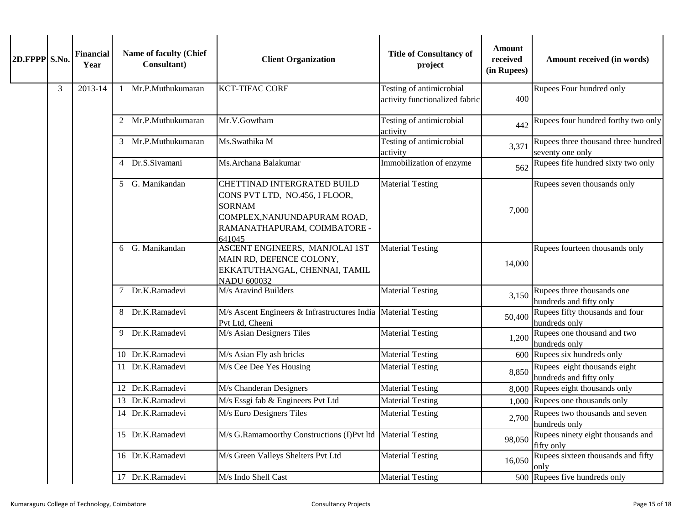| 2D.FPPP S.No. |   | <b>Financial</b><br>Year | Name of faculty (Chief<br>Consultant) | <b>Client Organization</b>                                                                                                                               | <b>Title of Consultancy of</b><br>project                                                                         | <b>Amount</b><br>received<br>(in Rupees) | Amount received (in words)                              |                                                       |                                                         |
|---------------|---|--------------------------|---------------------------------------|----------------------------------------------------------------------------------------------------------------------------------------------------------|-------------------------------------------------------------------------------------------------------------------|------------------------------------------|---------------------------------------------------------|-------------------------------------------------------|---------------------------------------------------------|
|               | 3 | 2013-14                  | Mr.P.Muthukumaran                     | <b>KCT-TIFAC CORE</b>                                                                                                                                    | Testing of antimicrobial<br>activity functionalized fabric                                                        | 400                                      | Rupees Four hundred only                                |                                                       |                                                         |
|               |   |                          | 2 Mr.P.Muthukumaran                   | Mr.V.Gowtham                                                                                                                                             | Testing of antimicrobial<br>activity                                                                              | 442                                      | Rupees four hundred forthy two only                     |                                                       |                                                         |
|               |   |                          | 3 Mr.P.Muthukumaran                   | Ms.Swathika M                                                                                                                                            | Testing of antimicrobial<br>activity                                                                              | 3,371                                    | Rupees three thousand three hundred<br>seventy one only |                                                       |                                                         |
|               |   |                          | 4 Dr.S.Sivamani                       | Ms. Archana Balakumar                                                                                                                                    | Immobilization of enzyme                                                                                          | 562                                      | Rupees fife hundred sixty two only                      |                                                       |                                                         |
|               |   |                          | 5 G. Manikandan                       | CHETTINAD INTERGRATED BUILD<br>CONS PVT LTD, NO.456, I FLOOR,<br><b>SORNAM</b><br>COMPLEX, NANJUNDAPURAM ROAD,<br>RAMANATHAPURAM, COIMBATORE -<br>641045 | <b>Material Testing</b>                                                                                           | 7,000                                    | Rupees seven thousands only                             |                                                       |                                                         |
|               |   |                          |                                       | 6 G. Manikandan                                                                                                                                          | ASCENT ENGINEERS, MANJOLAI 1ST<br>MAIN RD, DEFENCE COLONY,<br>EKKATUTHANGAL, CHENNAI, TAMIL<br><b>NADU 600032</b> | <b>Material Testing</b>                  | 14,000                                                  | Rupees fourteen thousands only                        |                                                         |
|               |   |                          | 7 Dr.K.Ramadevi                       | M/s Aravind Builders                                                                                                                                     | <b>Material Testing</b>                                                                                           | 3,150                                    | Rupees three thousands one<br>hundreds and fifty only   |                                                       |                                                         |
|               |   |                          | 8 Dr.K.Ramadevi                       | M/s Ascent Engineers & Infrastructures India Material Testing<br>Pvt Ltd, Cheeni                                                                         |                                                                                                                   | 50,400                                   | Rupees fifty thousands and four<br>hundreds only        |                                                       |                                                         |
|               |   |                          |                                       |                                                                                                                                                          | 9 Dr.K.Ramadevi                                                                                                   | M/s Asian Designers Tiles                | <b>Material Testing</b>                                 | 1,200                                                 | Rupees one thousand and two<br>hundreds only            |
|               |   |                          | 10 Dr.K.Ramadevi                      | M/s Asian Fly ash bricks                                                                                                                                 | <b>Material Testing</b>                                                                                           |                                          | 600 Rupees six hundreds only                            |                                                       |                                                         |
|               |   |                          |                                       |                                                                                                                                                          | 11 Dr.K.Ramadevi                                                                                                  | M/s Cee Dee Yes Housing                  | <b>Material Testing</b>                                 | 8,850                                                 | Rupees eight thousands eight<br>hundreds and fifty only |
|               |   |                          | 12 Dr.K.Ramadevi                      | M/s Chanderan Designers                                                                                                                                  | <b>Material Testing</b>                                                                                           |                                          | 8,000 Rupees eight thousands only                       |                                                       |                                                         |
|               |   |                          | 13 Dr.K.Ramadevi                      | M/s Essgi fab & Engineers Pvt Ltd                                                                                                                        | <b>Material Testing</b>                                                                                           |                                          | 1,000 Rupees one thousands only                         |                                                       |                                                         |
|               |   |                          |                                       | 14 Dr.K.Ramadevi                                                                                                                                         | M/s Euro Designers Tiles                                                                                          | <b>Material Testing</b>                  |                                                         | 2,700 Rupees two thousands and seven<br>hundreds only |                                                         |
|               |   |                          | 15 Dr.K.Ramadevi                      | M/s G.Ramamoorthy Constructions (I)Pvt ltd                                                                                                               | <b>Material Testing</b>                                                                                           | 98,050                                   | Rupees ninety eight thousands and<br>fifty only         |                                                       |                                                         |
|               |   |                          | 16 Dr.K.Ramadevi                      | M/s Green Valleys Shelters Pvt Ltd                                                                                                                       | <b>Material Testing</b>                                                                                           | 16,050                                   | Rupees sixteen thousands and fifty<br>only              |                                                       |                                                         |
|               |   |                          | 17 Dr.K.Ramadevi                      | M/s Indo Shell Cast                                                                                                                                      | <b>Material Testing</b>                                                                                           |                                          | 500 Rupees five hundreds only                           |                                                       |                                                         |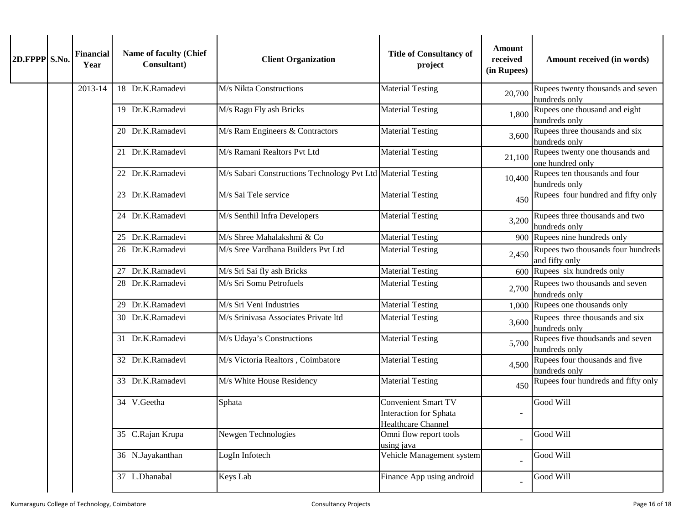| 2D.FPPP S.No. | <b>Financial</b><br>Year | Name of faculty (Chief<br>Consultant) | <b>Client Organization</b>                                   | <b>Title of Consultancy of</b><br>project                                         | <b>Amount</b><br>received<br>(in Rupees) | Amount received (in words)                           |
|---------------|--------------------------|---------------------------------------|--------------------------------------------------------------|-----------------------------------------------------------------------------------|------------------------------------------|------------------------------------------------------|
|               | 2013-14                  | 18 Dr.K.Ramadevi                      | M/s Nikta Constructions                                      | <b>Material Testing</b>                                                           | 20,700                                   | Rupees twenty thousands and seven<br>hundreds only   |
|               |                          | 19 Dr.K.Ramadevi                      | M/s Ragu Fly ash Bricks                                      | Material Testing                                                                  | 1,800                                    | Rupees one thousand and eight<br>hundreds only       |
|               |                          | 20 Dr.K.Ramadevi                      | M/s Ram Engineers & Contractors                              | <b>Material Testing</b>                                                           | 3,600                                    | Rupees three thousands and six<br>hundreds only      |
|               |                          | 21 Dr.K.Ramadevi                      | M/s Ramani Realtors Pvt Ltd                                  | <b>Material Testing</b>                                                           | 21,100                                   | Rupees twenty one thousands and<br>one hundred only  |
|               |                          | 22 Dr.K.Ramadevi                      | M/s Sabari Constructions Technology Pvt Ltd Material Testing |                                                                                   | 10,400                                   | Rupees ten thousands and four<br>hundreds only       |
|               |                          | 23 Dr.K.Ramadevi                      | M/s Sai Tele service                                         | <b>Material Testing</b>                                                           | 450                                      | Rupees four hundred and fifty only                   |
|               |                          | 24 Dr.K.Ramadevi                      | M/s Senthil Infra Developers                                 | <b>Material Testing</b>                                                           | 3,200                                    | Rupees three thousands and two<br>hundreds only      |
|               |                          | 25 Dr.K.Ramadevi                      | M/s Shree Mahalakshmi & Co                                   | <b>Material Testing</b>                                                           |                                          | 900 Rupees nine hundreds only                        |
|               |                          | 26 Dr.K.Ramadevi                      | M/s Sree Vardhana Builders Pvt Ltd                           | <b>Material Testing</b>                                                           | 2,450                                    | Rupees two thousands four hundreds<br>and fifty only |
|               |                          | 27 Dr.K.Ramadevi                      | M/s Sri Sai fly ash Bricks                                   | <b>Material Testing</b>                                                           | 600                                      | Rupees six hundreds only                             |
|               |                          | 28 Dr.K.Ramadevi                      | M/s Sri Somu Petrofuels                                      | <b>Material Testing</b>                                                           | 2,700                                    | Rupees two thousands and seven<br>hundreds only      |
|               |                          | 29 Dr.K.Ramadevi                      | M/s Sri Veni Industries                                      | <b>Material Testing</b>                                                           |                                          | $1,000$ Rupees one thousands only                    |
|               |                          | 30 Dr.K.Ramadevi                      | M/s Srinivasa Associates Private ltd                         | Material Testing                                                                  | 3,600                                    | Rupees three thousands and six<br>hundreds only      |
|               |                          | 31 Dr.K.Ramadevi                      | M/s Udaya's Constructions                                    | <b>Material Testing</b>                                                           | 5,700                                    | Rupees five thoudsands and seven<br>hundreds only    |
|               |                          | 32 Dr.K.Ramadevi                      | M/s Victoria Realtors, Coimbatore                            | <b>Material Testing</b>                                                           | 4,500                                    | Rupees four thousands and five<br>hundreds only      |
|               |                          | 33 Dr.K.Ramadevi                      | M/s White House Residency                                    | <b>Material Testing</b>                                                           | 450                                      | Rupees four hundreds and fifty only                  |
|               |                          | 34 V.Geetha                           | Sphata                                                       | <b>Convenient Smart TV</b><br><b>Interaction for Sphata</b><br>Healthcare Channel |                                          | Good Will                                            |
|               |                          | 35 C.Rajan Krupa                      | Newgen Technologies                                          | Omni flow report tools<br>using java                                              |                                          | Good Will                                            |
|               |                          | 36 N.Jayakanthan                      | LogIn Infotech                                               | Vehicle Management system                                                         |                                          | Good Will                                            |
|               |                          | 37 L.Dhanabal                         | Keys Lab                                                     | Finance App using android                                                         |                                          | Good Will                                            |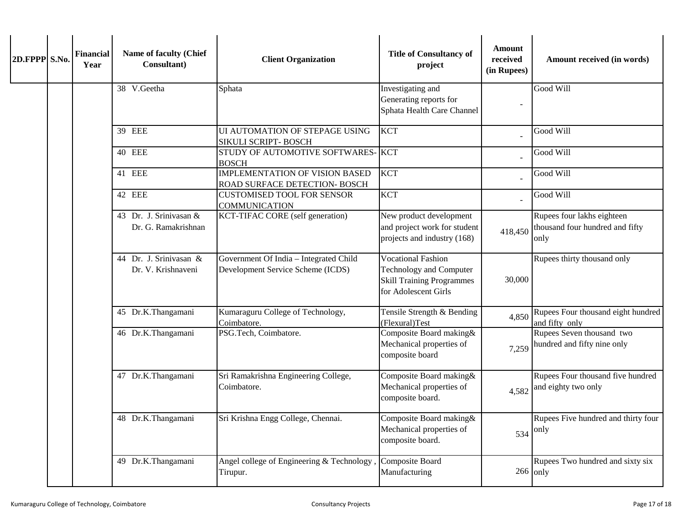| 2D.FPPP S.No. | <b>Financial</b><br>Year | Name of faculty (Chief<br>Consultant)         | <b>Client Organization</b>                                                  | <b>Title of Consultancy of</b><br>project                                                                        | <b>Amount</b><br>received<br>(in Rupees) | Amount received (in words)                                            |
|---------------|--------------------------|-----------------------------------------------|-----------------------------------------------------------------------------|------------------------------------------------------------------------------------------------------------------|------------------------------------------|-----------------------------------------------------------------------|
|               |                          | 38 V.Geetha                                   | Sphata                                                                      | Investigating and<br>Generating reports for<br>Sphata Health Care Channel                                        |                                          | Good Will                                                             |
|               |                          | 39 EEE                                        | UI AUTOMATION OF STEPAGE USING<br>SIKULI SCRIPT- BOSCH                      | <b>KCT</b>                                                                                                       |                                          | Good Will                                                             |
|               |                          | <b>40 EEE</b>                                 | STUDY OF AUTOMOTIVE SOFTWARES- KCT<br><b>BOSCH</b>                          |                                                                                                                  |                                          | Good Will                                                             |
|               |                          | 41 EEE                                        | <b>IMPLEMENTATION OF VISION BASED</b><br>ROAD SURFACE DETECTION- BOSCH      | <b>KCT</b>                                                                                                       |                                          | Good Will                                                             |
|               |                          | 42 EEE                                        | <b>CUSTOMISED TOOL FOR SENSOR</b><br><b>COMMUNICATION</b>                   | <b>KCT</b>                                                                                                       |                                          | Good Will                                                             |
|               |                          | 43 Dr. J. Srinivasan &<br>Dr. G. Ramakrishnan | KCT-TIFAC CORE (self generation)                                            | New product development<br>and project work for student<br>projects and industry (168)                           | 418,450                                  | Rupees four lakhs eighteen<br>thousand four hundred and fifty<br>only |
|               |                          | 44 Dr. J. Srinivasan &<br>Dr. V. Krishnaveni  | Government Of India - Integrated Child<br>Development Service Scheme (ICDS) | <b>Vocational Fashion</b><br>Technology and Computer<br><b>Skill Training Programmes</b><br>for Adolescent Girls | 30,000                                   | Rupees thirty thousand only                                           |
|               |                          | 45 Dr.K.Thangamani                            | Kumaraguru College of Technology,<br>Coimbatore.                            | Tensile Strength & Bending<br>(Flexural)Test                                                                     | 4,850                                    | Rupees Four thousand eight hundred<br>and fifty only                  |
|               |                          | 46 Dr.K.Thangamani                            | PSG.Tech, Coimbatore.                                                       | Composite Board making&<br>Mechanical properties of<br>composite board                                           | 7,259                                    | Rupees Seven thousand two<br>hundred and fifty nine only              |
|               |                          | 47 Dr.K.Thangamani                            | Sri Ramakrishna Engineering College,<br>Coimbatore.                         | Composite Board making&<br>Mechanical properties of<br>composite board.                                          | 4,582                                    | Rupees Four thousand five hundred<br>and eighty two only              |
|               |                          | 48 Dr.K.Thangamani                            | Sri Krishna Engg College, Chennai.                                          | Composite Board making &<br>Mechanical properties of<br>composite board.                                         |                                          | Rupees Five hundred and thirty four<br>$534$ only                     |
|               |                          | 49 Dr.K.Thangamani                            | Angel college of Engineering & Technology,<br>Tirupur.                      | Composite Board<br>Manufacturing                                                                                 |                                          | Rupees Two hundred and sixty six<br>$266$ only                        |